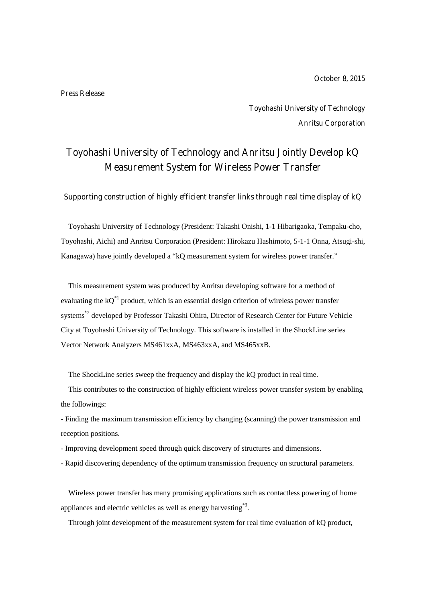**October 8, 2015**

#### **Press Release**

**Toyohashi University of Technology Anritsu Corporation**

# **Toyohashi University of Technology and Anritsu Jointly Develop kQ Measurement System for Wireless Power Transfer**

**Supporting construction of highly efficient transfer links through real time display of kQ**

Toyohashi University of Technology (President: Takashi Onishi, 1-1 Hibarigaoka, Tempaku-cho, Toyohashi, Aichi) and Anritsu Corporation (President: Hirokazu Hashimoto, 5-1-1 Onna, Atsugi-shi, Kanagawa) have jointly developed a "kQ measurement system for wireless power transfer."

This measurement system was produced by Anritsu developing software for a method of evaluating the  $kQ^{\ast 1}$  product, which is an essential design criterion of wireless power transfer systems **\***2 developed by Professor Takashi Ohira, Director of Research Center for Future Vehicle City at Toyohashi University of Technology. This software is installed in the ShockLine series Vector Network Analyzers MS461xxA, MS463xxA, and MS465xxB.

The ShockLine series sweep the frequency and display the kQ product in real time.

This contributes to the construction of highly efficient wireless power transfer system by enabling the followings:

- Finding the maximum transmission efficiency by changing (scanning) the power transmission and reception positions.

- Improving development speed through quick discovery of structures and dimensions.
- Rapid discovering dependency of the optimum transmission frequency on structural parameters.

Wireless power transfer has many promising applications such as contactless powering of home appliances and electric vehicles as well as energy harvesting<sup>\*3</sup>.

Through joint development of the measurement system for real time evaluation of kQ product,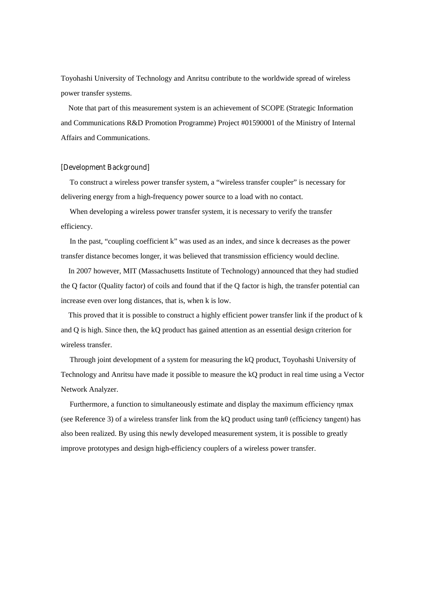Toyohashi University of Technology and Anritsu contribute to the worldwide spread of wireless power transfer systems.

Note that part of this measurement system is an achievement of SCOPE (Strategic Information and Communications R&D Promotion Programme) Project #01590001 of the Ministry of Internal Affairs and Communications.

#### **[Development Background]**

To construct a wireless power transfer system, a "wireless transfer coupler" is necessary for delivering energy from a high-frequency power source to a load with no contact.

When developing a wireless power transfer system, it is necessary to verify the transfer efficiency.

In the past, "coupling coefficient k" was used as an index, and since k decreases as the power transfer distance becomes longer, it was believed that transmission efficiency would decline.

In 2007 however, MIT (Massachusetts Institute of Technology) announced that they had studied the Q factor (Quality factor) of coils and found that if the Q factor is high, the transfer potential can increase even over long distances, that is, when k is low.

This proved that it is possible to construct a highly efficient power transfer link if the product of k and Q is high. Since then, the kQ product has gained attention as an essential design criterion for wireless transfer.

Through joint development of a system for measuring the kQ product, Toyohashi University of Technology and Anritsu have made it possible to measure the kQ product in real time using a Vector Network Analyzer.

Furthermore, a function to simultaneously estimate and display the maximum efficiency ηmax (see Reference 3) of a wireless transfer link from the kQ product using  $tan\theta$  (efficiency tangent) has also been realized. By using this newly developed measurement system, it is possible to greatly improve prototypes and design high-efficiency couplers of a wireless power transfer.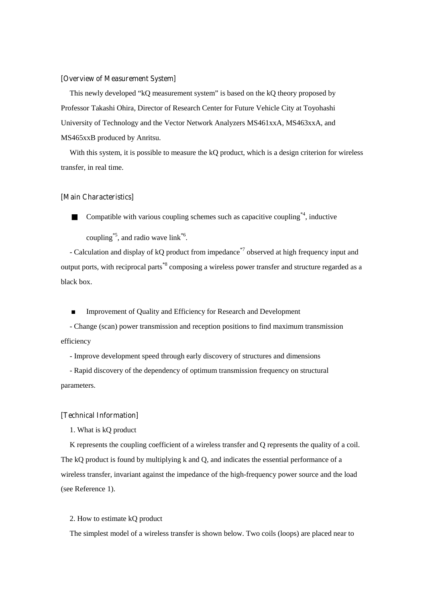#### **[Overview of Measurement System]**

This newly developed "kQ measurement system" is based on the kQ theory proposed by Professor Takashi Ohira, Director of Research Center for Future Vehicle City at Toyohashi University of Technology and the Vector Network Analyzers MS461xxA, MS463xxA, and MS465xxB produced by Anritsu.

With this system, it is possible to measure the kQ product, which is a design criterion for wireless transfer, in real time.

#### **[Main Characteristics]**

Compatible with various coupling schemes such as capacitive coupling  $A<sup>*</sup>$ , inductive

coupling<sup>\*5</sup>, and radio wave link<sup>\*6</sup>.

- Calculation and display of kQ product from impedance<sup>\*7</sup> observed at high frequency input and output ports, with reciprocal parts<sup>\*8</sup> composing a wireless power transfer and structure regarded as a black box.

■ Improvement of Quality and Efficiency for Research and Development

- Change (scan) power transmission and reception positions to find maximum transmission efficiency

- Improve development speed through early discovery of structures and dimensions

- Rapid discovery of the dependency of optimum transmission frequency on structural parameters.

## **[Technical Information]**

1. What is kQ product

K represents the coupling coefficient of a wireless transfer and Q represents the quality of a coil. The kQ product is found by multiplying k and Q, and indicates the essential performance of a wireless transfer, invariant against the impedance of the high-frequency power source and the load (see Reference 1).

## 2. How to estimate kQ product

The simplest model of a wireless transfer is shown below. Two coils (loops) are placed near to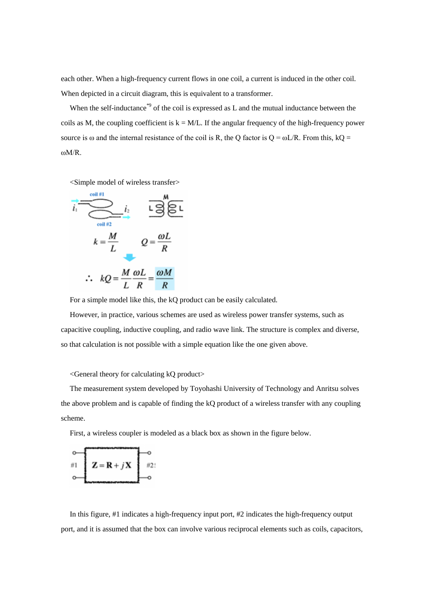each other. When a high-frequency current flows in one coil, a current is induced in the other coil. When depicted in a circuit diagram, this is equivalent to a transformer.

When the self-inductance<sup>\*9</sup> of the coil is expressed as L and the mutual inductance between the coils as M, the coupling coefficient is  $k = M/L$ . If the angular frequency of the high-frequency power source is  $\omega$  and the internal resistance of the coil is R, the Q factor is  $Q = \omega L/R$ . From this, kQ = ωM/R.

<Simple model of wireless transfer>



For a simple model like this, the kQ product can be easily calculated.

However, in practice, various schemes are used as wireless power transfer systems, such as capacitive coupling, inductive coupling, and radio wave link. The structure is complex and diverse, so that calculation is not possible with a simple equation like the one given above.

#### <General theory for calculating kQ product>

The measurement system developed by Toyohashi University of Technology and Anritsu solves the above problem and is capable of finding the kQ product of a wireless transfer with any coupling scheme.

First, a wireless coupler is modeled as a black box as shown in the figure below.

$$
\begin{array}{c}\n\circ \\
\hline\n\end{array}\n\qquad\n\begin{array}{c}\nZ = \mathbf{R} + j\mathbf{X} \\
\hline\n\end{array}\n\qquad\n\begin{array}{c}\n\circ \\
\hline\n\end{array}
$$

In this figure, #1 indicates a high-frequency input port, #2 indicates the high-frequency output port, and it is assumed that the box can involve various reciprocal elements such as coils, capacitors,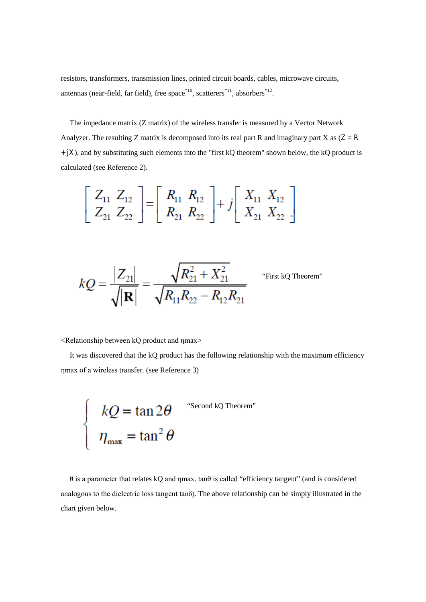resistors, transformers, transmission lines, printed circuit boards, cables, microwave circuits, antennas (near-field, far field), free space<sup>\*10</sup>, scatterers<sup>\*11</sup>, absorbers<sup>\*12</sup>.

The impedance matrix (Z matrix) of the wireless transfer is measured by a Vector Network Analyzer. The resulting Z matrix is decomposed into its real part R and imaginary part X as  $(Z = R)$ **+** *j***X**), and by substituting such elements into the "first kQ theorem" shown below, the kQ product is calculated (see Reference 2).

$$
\left[\begin{array}{cc} Z_{11} & Z_{12} \\ Z_{21} & Z_{22} \end{array}\right] = \left[\begin{array}{cc} R_{11} & R_{12} \\ R_{21} & R_{22} \end{array}\right] + j \left[\begin{array}{cc} X_{11} & X_{12} \\ X_{21} & X_{22} \end{array}\right]
$$

$$
kQ = \frac{|Z_{21}|}{\sqrt{|\mathbf{R}|}} = \frac{\sqrt{R_{21}^2 + X_{21}^2}}{\sqrt{R_{11}R_{22} - R_{12}R_{21}}}
$$

First kQ Theorem"

<Relationship between kQ product and ηmax>

It was discovered that the kQ product has the following relationship with the maximum efficiency ηmax of a wireless transfer. (see Reference 3)

$$
\begin{cases}\n kQ = \tan 2\theta & \text{``Second kQ Theorem''} \\
 \eta_{\text{max}} = \tan^2 \theta\n\end{cases}
$$

θ is a parameter that relates kQ and ηmax. tanθ is called "efficiency tangent" (and is considered analogous to the dielectric loss tangent tanδ). The above relationship can be simply illustrated in the chart given below.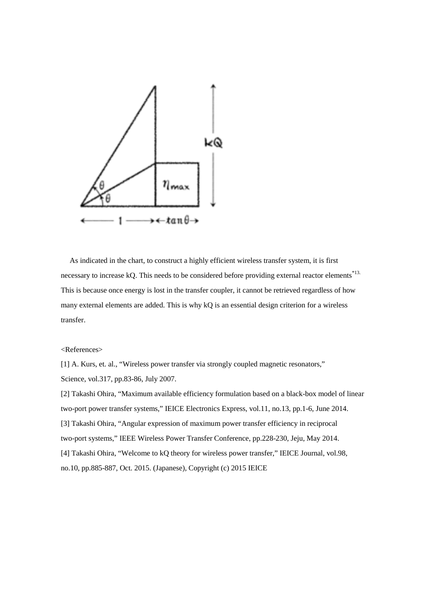

As indicated in the chart, to construct a highly efficient wireless transfer system, it is first necessary to increase kQ. This needs to be considered before providing external reactor elements<sup>\*13.</sup> This is because once energy is lost in the transfer coupler, it cannot be retrieved regardless of how many external elements are added. This is why kQ is an essential design criterion for a wireless transfer.

# <References>

[1] A. Kurs, et. al., "Wireless power transfer via strongly coupled magnetic resonators," Science, vol.317, pp.83-86, July 2007.

[2] Takashi Ohira, "Maximum available efficiency formulation based on a black-box model of linear two-port power transfer systems," IEICE Electronics Express, vol.11, no.13, pp.1-6, June 2014. [3] Takashi Ohira, "Angular expression of maximum power transfer efficiency in reciprocal two-port systems," IEEE Wireless Power Transfer Conference, pp.228-230, Jeju, May 2014. [4] Takashi Ohira, "Welcome to kQ theory for wireless power transfer," IEICE Journal, vol.98, no.10, pp.885-887, Oct. 2015. (Japanese), Copyright (c) 2015 IEICE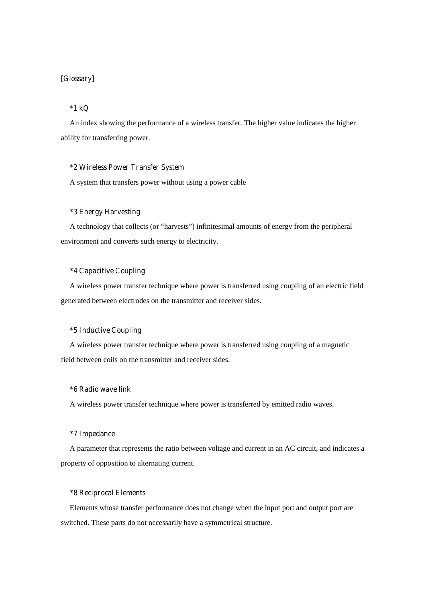# **[Glossary]**

# **\*1 kQ**

An index showing the performance of a wireless transfer. The higher value indicates the higher ability for transferring power.

#### **\*2 Wireless Power Transfer System**

A system that transfers power without using a power cable

# **\*3 Energy Harvesting**

A technology that collects (or "harvests") infinitesimal amounts of energy from the peripheral environment and converts such energy to electricity.

# **\*4 Capacitive Coupling**

A wireless power transfer technique where power is transferred using coupling of an electric field generated between electrodes on the transmitter and receiver sides.

## **\*5 Inductive Coupling**

A wireless power transfer technique where power is transferred using coupling of a magnetic field between coils on the transmitter and receiver sides.

# **\*6 Radio wave link**

A wireless power transfer technique where power is transferred by emitted radio waves.

# **\*7 Impedance**

A parameter that represents the ratio between voltage and current in an AC circuit, and indicates a property of opposition to alternating current.

### **\*8 Reciprocal Elements**

Elements whose transfer performance does not change when the input port and output port are switched. These parts do not necessarily have a symmetrical structure.